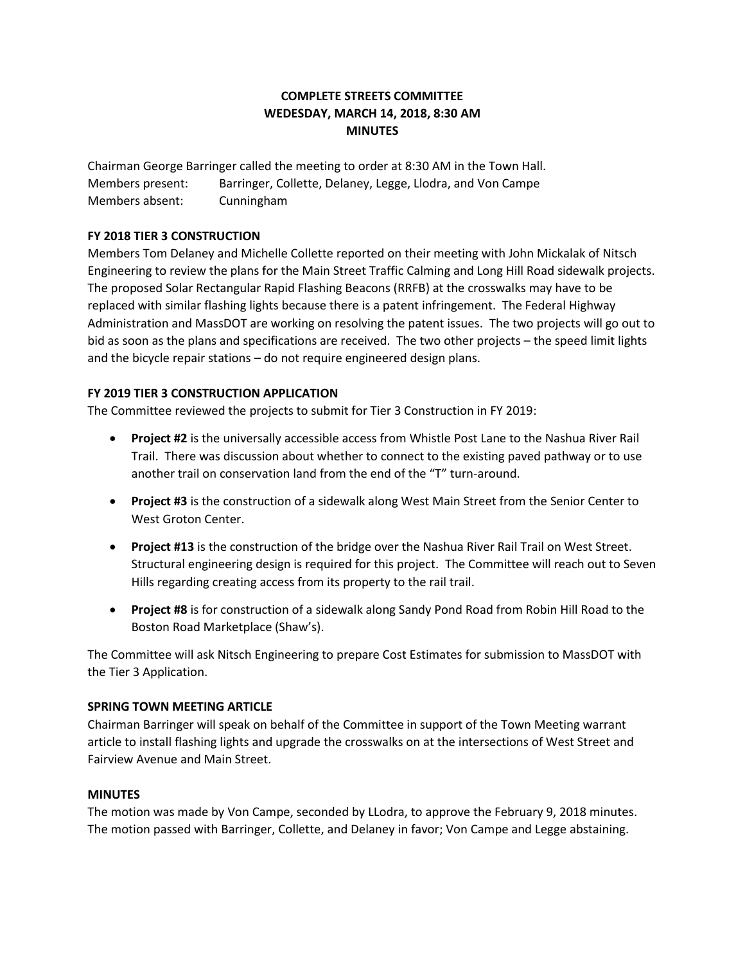## **COMPLETE STREETS COMMITTEE WEDESDAY, MARCH 14, 2018, 8:30 AM MINUTES**

Chairman George Barringer called the meeting to order at 8:30 AM in the Town Hall. Members present: Barringer, Collette, Delaney, Legge, Llodra, and Von Campe Members absent: Cunningham

### **FY 2018 TIER 3 CONSTRUCTION**

Members Tom Delaney and Michelle Collette reported on their meeting with John Mickalak of Nitsch Engineering to review the plans for the Main Street Traffic Calming and Long Hill Road sidewalk projects. The proposed Solar Rectangular Rapid Flashing Beacons (RRFB) at the crosswalks may have to be replaced with similar flashing lights because there is a patent infringement. The Federal Highway Administration and MassDOT are working on resolving the patent issues. The two projects will go out to bid as soon as the plans and specifications are received. The two other projects – the speed limit lights and the bicycle repair stations – do not require engineered design plans.

#### **FY 2019 TIER 3 CONSTRUCTION APPLICATION**

The Committee reviewed the projects to submit for Tier 3 Construction in FY 2019:

- **Project #2** is the universally accessible access from Whistle Post Lane to the Nashua River Rail Trail. There was discussion about whether to connect to the existing paved pathway or to use another trail on conservation land from the end of the "T" turn-around.
- **Project #3** is the construction of a sidewalk along West Main Street from the Senior Center to West Groton Center.
- **Project #13** is the construction of the bridge over the Nashua River Rail Trail on West Street. Structural engineering design is required for this project. The Committee will reach out to Seven Hills regarding creating access from its property to the rail trail.
- **Project #8** is for construction of a sidewalk along Sandy Pond Road from Robin Hill Road to the Boston Road Marketplace (Shaw's).

The Committee will ask Nitsch Engineering to prepare Cost Estimates for submission to MassDOT with the Tier 3 Application.

#### **SPRING TOWN MEETING ARTICLE**

Chairman Barringer will speak on behalf of the Committee in support of the Town Meeting warrant article to install flashing lights and upgrade the crosswalks on at the intersections of West Street and Fairview Avenue and Main Street.

#### **MINUTES**

The motion was made by Von Campe, seconded by LLodra, to approve the February 9, 2018 minutes. The motion passed with Barringer, Collette, and Delaney in favor; Von Campe and Legge abstaining.